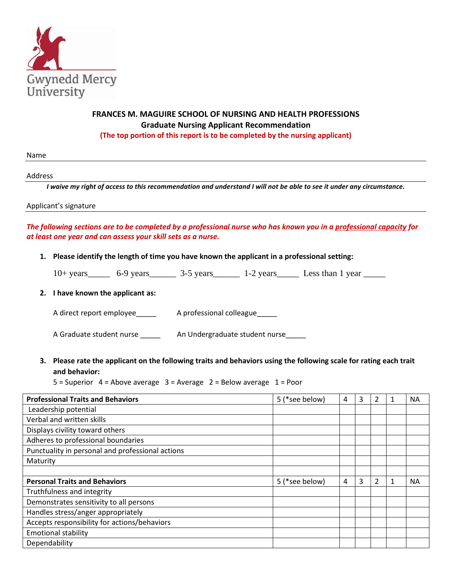

# **FRANCES M. MAGUIRE SCHOOL OF NURSING AND HEALTH PROFESSIONS Graduate Nursing Applicant Recommendation (The top portion of this report is to be completed by the nursing applicant)**

Name

Address

*I* waive my right of access to this recommendation and understand *I* will not be able to see it under any circumstance.

Applicant's signature

# *The following sections are to be completed by a professional nurse who has known you in a professional capacity for at least one year and can assess your skill sets as a nurse.*

**1. Please identify the length of time you have known the applicant in a professional setting:** 

| $10+$ years | 6-9 years | 3-5 years | 1-2 years | Less than 1 year |
|-------------|-----------|-----------|-----------|------------------|
|             |           |           |           |                  |

### **2. I have known the applicant as:**

A direct report employee A professional colleague

A Graduate student nurse \_\_\_\_\_\_\_ An Undergraduate student nurse \_\_\_\_\_

**3. Please rate the applicant on the following traits and behaviors using the following scale for rating each trait and behavior:**

5 = Superior 4 = Above average 3 = Average 2 = Below average 1 = Poor

| <b>Professional Traits and Behaviors</b>         | 5 (*see below) | 4 | 3 | 2             |   | <b>NA</b> |
|--------------------------------------------------|----------------|---|---|---------------|---|-----------|
| Leadership potential                             |                |   |   |               |   |           |
| Verbal and written skills                        |                |   |   |               |   |           |
| Displays civility toward others                  |                |   |   |               |   |           |
| Adheres to professional boundaries               |                |   |   |               |   |           |
| Punctuality in personal and professional actions |                |   |   |               |   |           |
| Maturity                                         |                |   |   |               |   |           |
|                                                  |                |   |   |               |   |           |
| <b>Personal Traits and Behaviors</b>             | 5 (*see below) | 4 | 3 | $\mathcal{L}$ | 1 | <b>NA</b> |
| Truthfulness and integrity                       |                |   |   |               |   |           |
| Demonstrates sensitivity to all persons          |                |   |   |               |   |           |
| Handles stress/anger appropriately               |                |   |   |               |   |           |
| Accepts responsibility for actions/behaviors     |                |   |   |               |   |           |
| <b>Emotional stability</b>                       |                |   |   |               |   |           |
| Dependability                                    |                |   |   |               |   |           |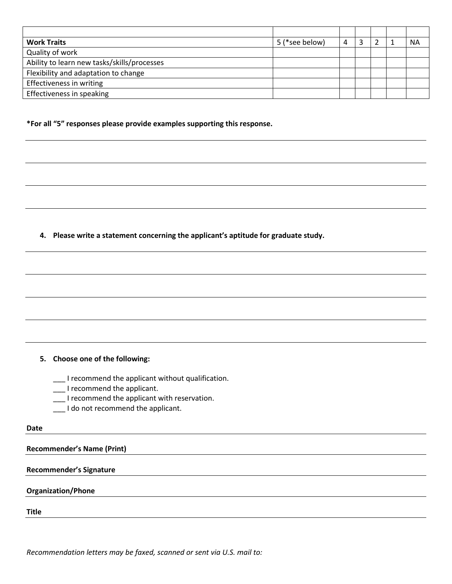| <b>Work Traits</b>                          | 5 (*see below) | Λ |  | <b>NA</b> |
|---------------------------------------------|----------------|---|--|-----------|
| Quality of work                             |                |   |  |           |
| Ability to learn new tasks/skills/processes |                |   |  |           |
| Flexibility and adaptation to change        |                |   |  |           |
| Effectiveness in writing                    |                |   |  |           |
| Effectiveness in speaking                   |                |   |  |           |

**\*For all "5" responses please provide examples supporting this response.** 

**4. Please write a statement concerning the applicant's aptitude for graduate study.**

#### **5. Choose one of the following:**

\_\_\_ I recommend the applicant without qualification.

- \_\_\_ I recommend the applicant.
- \_\_\_ I recommend the applicant with reservation.
- \_\_\_ I do not recommend the applicant.

#### **Date**

**Recommender's Name (Print)**

#### **Recommender's Signature**

### **Organization/Phone**

**Title**